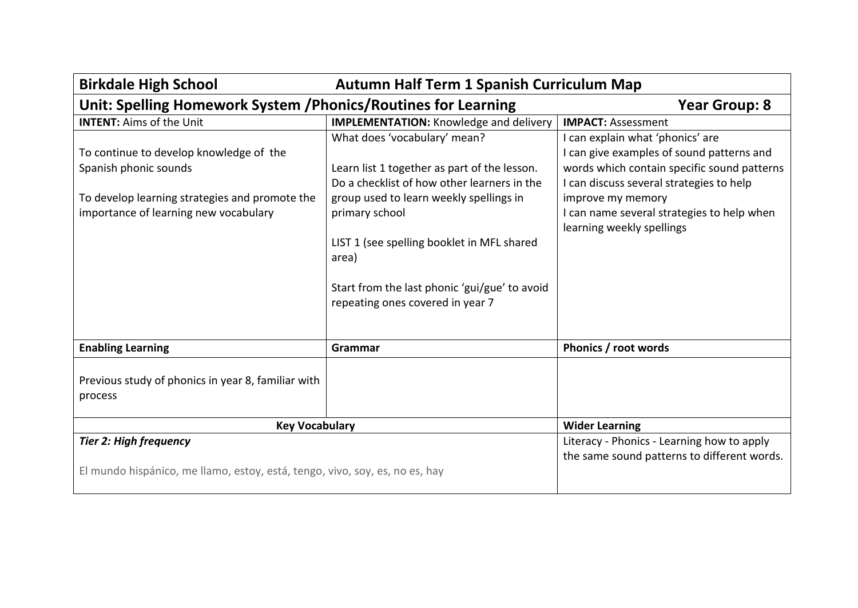| <b>Birkdale High School</b><br>Autumn Half Term 1 Spanish Curriculum Map                                                                                    |                                                                                                                                                                                                                                                                                                                                      |                                                                                                                                                                                                                                                                          |  |  |
|-------------------------------------------------------------------------------------------------------------------------------------------------------------|--------------------------------------------------------------------------------------------------------------------------------------------------------------------------------------------------------------------------------------------------------------------------------------------------------------------------------------|--------------------------------------------------------------------------------------------------------------------------------------------------------------------------------------------------------------------------------------------------------------------------|--|--|
| Unit: Spelling Homework System / Phonics/Routines for Learning<br><b>Year Group: 8</b>                                                                      |                                                                                                                                                                                                                                                                                                                                      |                                                                                                                                                                                                                                                                          |  |  |
| <b>INTENT: Aims of the Unit</b>                                                                                                                             | <b>IMPLEMENTATION:</b> Knowledge and delivery                                                                                                                                                                                                                                                                                        | <b>IMPACT: Assessment</b>                                                                                                                                                                                                                                                |  |  |
| To continue to develop knowledge of the<br>Spanish phonic sounds<br>To develop learning strategies and promote the<br>importance of learning new vocabulary | What does 'vocabulary' mean?<br>Learn list 1 together as part of the lesson.<br>Do a checklist of how other learners in the<br>group used to learn weekly spellings in<br>primary school<br>LIST 1 (see spelling booklet in MFL shared<br>area)<br>Start from the last phonic 'gui/gue' to avoid<br>repeating ones covered in year 7 | I can explain what 'phonics' are<br>I can give examples of sound patterns and<br>words which contain specific sound patterns<br>I can discuss several strategies to help<br>improve my memory<br>I can name several strategies to help when<br>learning weekly spellings |  |  |
| <b>Enabling Learning</b>                                                                                                                                    | Grammar                                                                                                                                                                                                                                                                                                                              | Phonics / root words                                                                                                                                                                                                                                                     |  |  |
| Previous study of phonics in year 8, familiar with<br>process                                                                                               |                                                                                                                                                                                                                                                                                                                                      |                                                                                                                                                                                                                                                                          |  |  |
| <b>Key Vocabulary</b>                                                                                                                                       |                                                                                                                                                                                                                                                                                                                                      | <b>Wider Learning</b>                                                                                                                                                                                                                                                    |  |  |
| <b>Tier 2: High frequency</b><br>El mundo hispánico, me llamo, estoy, está, tengo, vivo, soy, es, no es, hay                                                |                                                                                                                                                                                                                                                                                                                                      | Literacy - Phonics - Learning how to apply<br>the same sound patterns to different words.                                                                                                                                                                                |  |  |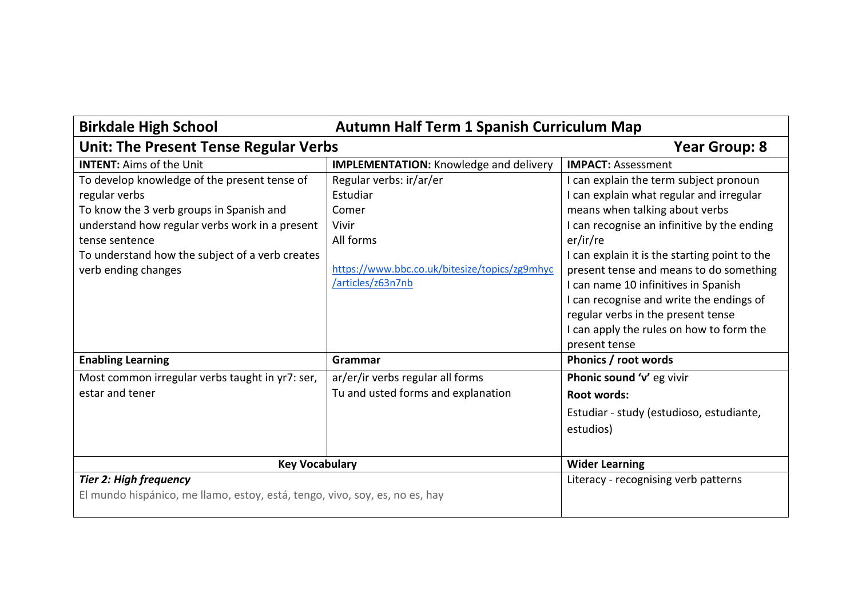| <b>Birkdale High School</b><br><b>Autumn Half Term 1 Spanish Curriculum Map</b>                                                                                                                                                                         |                                                                                                                                          |                                                                                                                                                                                                                                                                                                                                                                                                       |
|---------------------------------------------------------------------------------------------------------------------------------------------------------------------------------------------------------------------------------------------------------|------------------------------------------------------------------------------------------------------------------------------------------|-------------------------------------------------------------------------------------------------------------------------------------------------------------------------------------------------------------------------------------------------------------------------------------------------------------------------------------------------------------------------------------------------------|
| <b>Unit: The Present Tense Regular Verbs</b>                                                                                                                                                                                                            |                                                                                                                                          | <b>Year Group: 8</b>                                                                                                                                                                                                                                                                                                                                                                                  |
| <b>INTENT: Aims of the Unit</b>                                                                                                                                                                                                                         | <b>IMPLEMENTATION:</b> Knowledge and delivery                                                                                            | <b>IMPACT: Assessment</b>                                                                                                                                                                                                                                                                                                                                                                             |
| To develop knowledge of the present tense of<br>regular verbs<br>To know the 3 verb groups in Spanish and<br>understand how regular verbs work in a present<br>tense sentence<br>To understand how the subject of a verb creates<br>verb ending changes | Regular verbs: ir/ar/er<br>Estudiar<br>Comer<br>Vivir<br>All forms<br>https://www.bbc.co.uk/bitesize/topics/zg9mhyc<br>/articles/z63n7nb | I can explain the term subject pronoun<br>I can explain what regular and irregular<br>means when talking about verbs<br>I can recognise an infinitive by the ending<br>er/ir/re<br>I can explain it is the starting point to the<br>present tense and means to do something<br>I can name 10 infinitives in Spanish<br>I can recognise and write the endings of<br>regular verbs in the present tense |
|                                                                                                                                                                                                                                                         |                                                                                                                                          | I can apply the rules on how to form the<br>present tense                                                                                                                                                                                                                                                                                                                                             |
| <b>Enabling Learning</b>                                                                                                                                                                                                                                | Grammar                                                                                                                                  | Phonics / root words                                                                                                                                                                                                                                                                                                                                                                                  |
| Most common irregular verbs taught in yr7: ser,<br>estar and tener                                                                                                                                                                                      | ar/er/ir verbs regular all forms<br>Tu and usted forms and explanation                                                                   | Phonic sound 'v' eg vivir<br>Root words:<br>Estudiar - study (estudioso, estudiante,<br>estudios)                                                                                                                                                                                                                                                                                                     |
| <b>Key Vocabulary</b>                                                                                                                                                                                                                                   |                                                                                                                                          | <b>Wider Learning</b>                                                                                                                                                                                                                                                                                                                                                                                 |
| <b>Tier 2: High frequency</b><br>El mundo hispánico, me llamo, estoy, está, tengo, vivo, soy, es, no es, hay                                                                                                                                            |                                                                                                                                          | Literacy - recognising verb patterns                                                                                                                                                                                                                                                                                                                                                                  |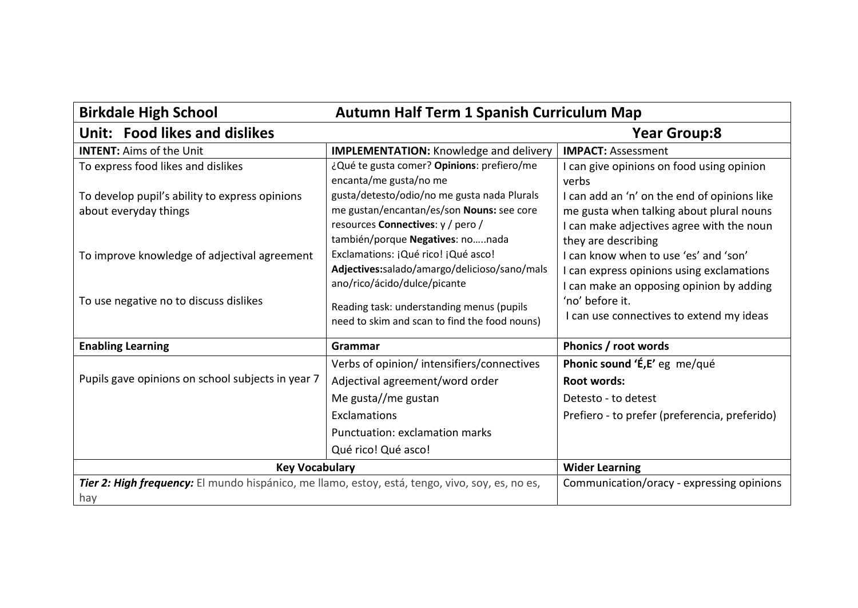| <b>Birkdale High School</b><br><b>Autumn Half Term 1 Spanish Curriculum Map</b>                        |                                                                                                                                                                              |                                                                                                                                                              |  |  |
|--------------------------------------------------------------------------------------------------------|------------------------------------------------------------------------------------------------------------------------------------------------------------------------------|--------------------------------------------------------------------------------------------------------------------------------------------------------------|--|--|
| Unit: Food likes and dislikes                                                                          |                                                                                                                                                                              | <b>Year Group:8</b>                                                                                                                                          |  |  |
| <b>INTENT: Aims of the Unit</b>                                                                        | <b>IMPLEMENTATION:</b> Knowledge and delivery                                                                                                                                | <b>IMPACT: Assessment</b>                                                                                                                                    |  |  |
| To express food likes and dislikes                                                                     | ¿Qué te gusta comer? Opinions: prefiero/me<br>encanta/me gusta/no me                                                                                                         | I can give opinions on food using opinion<br>verbs                                                                                                           |  |  |
| To develop pupil's ability to express opinions<br>about everyday things                                | gusta/detesto/odio/no me gusta nada Plurals<br>me gustan/encantan/es/son Nouns: see core<br>resources Connectives: y / pero /<br>también/porque Negatives: nonada            | I can add an 'n' on the end of opinions like<br>me gusta when talking about plural nouns<br>I can make adjectives agree with the noun<br>they are describing |  |  |
| To improve knowledge of adjectival agreement                                                           | Exclamations: ¡Qué rico! ¡Qué asco!<br>Adjectives:salado/amargo/delicioso/sano/mals<br>ano/rico/ácido/dulce/picante                                                          | I can know when to use 'es' and 'son'<br>I can express opinions using exclamations<br>I can make an opposing opinion by adding                               |  |  |
| To use negative no to discuss dislikes                                                                 | Reading task: understanding menus (pupils<br>need to skim and scan to find the food nouns)                                                                                   | 'no' before it.<br>I can use connectives to extend my ideas                                                                                                  |  |  |
| <b>Enabling Learning</b>                                                                               | Grammar                                                                                                                                                                      | Phonics / root words                                                                                                                                         |  |  |
| Pupils gave opinions on school subjects in year 7                                                      | Verbs of opinion/intensifiers/connectives<br>Adjectival agreement/word order<br>Me gusta//me gustan<br>Exclamations<br>Punctuation: exclamation marks<br>Qué rico! Qué asco! | Phonic sound 'É,E' eg me/qué<br><b>Root words:</b><br>Detesto - to detest<br>Prefiero - to prefer (preferencia, preferido)                                   |  |  |
| <b>Key Vocabulary</b>                                                                                  |                                                                                                                                                                              | <b>Wider Learning</b>                                                                                                                                        |  |  |
| Tier 2: High frequency: El mundo hispánico, me llamo, estoy, está, tengo, vivo, soy, es, no es,<br>hay |                                                                                                                                                                              | Communication/oracy - expressing opinions                                                                                                                    |  |  |